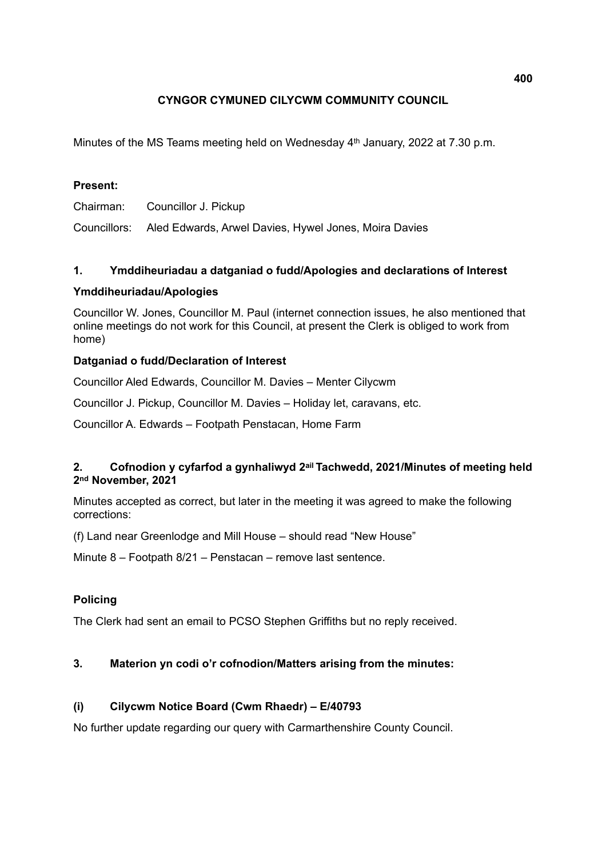# **CYNGOR CYMUNED CILYCWM COMMUNITY COUNCIL**

Minutes of the MS Teams meeting held on Wednesday 4<sup>th</sup> January, 2022 at 7.30 p.m.

# **Present:**

Chairman: Councillor J. Pickup

Councillors: Aled Edwards, Arwel Davies, Hywel Jones, Moira Davies

# **1. Ymddiheuriadau a datganiad o fudd/Apologies and declarations of Interest**

## **Ymddiheuriadau/Apologies**

Councillor W. Jones, Councillor M. Paul (internet connection issues, he also mentioned that online meetings do not work for this Council, at present the Clerk is obliged to work from home)

# **Datganiad o fudd/Declaration of Interest**

Councillor Aled Edwards, Councillor M. Davies – Menter Cilycwm

Councillor J. Pickup, Councillor M. Davies – Holiday let, caravans, etc.

Councillor A. Edwards – Footpath Penstacan, Home Farm

# **2. Cofnodion y cyfarfod a gynhaliwyd 2ail Tachwedd, 2021/Minutes of meeting held 2nd November, 2021**

Minutes accepted as correct, but later in the meeting it was agreed to make the following corrections:

(f) Land near Greenlodge and Mill House – should read "New House"

Minute 8 – Footpath 8/21 – Penstacan – remove last sentence.

# **Policing**

The Clerk had sent an email to PCSO Stephen Griffiths but no reply received.

# **3. Materion yn codi o'r cofnodion/Matters arising from the minutes:**

# **(i) Cilycwm Notice Board (Cwm Rhaedr) – E/40793**

No further update regarding our query with Carmarthenshire County Council.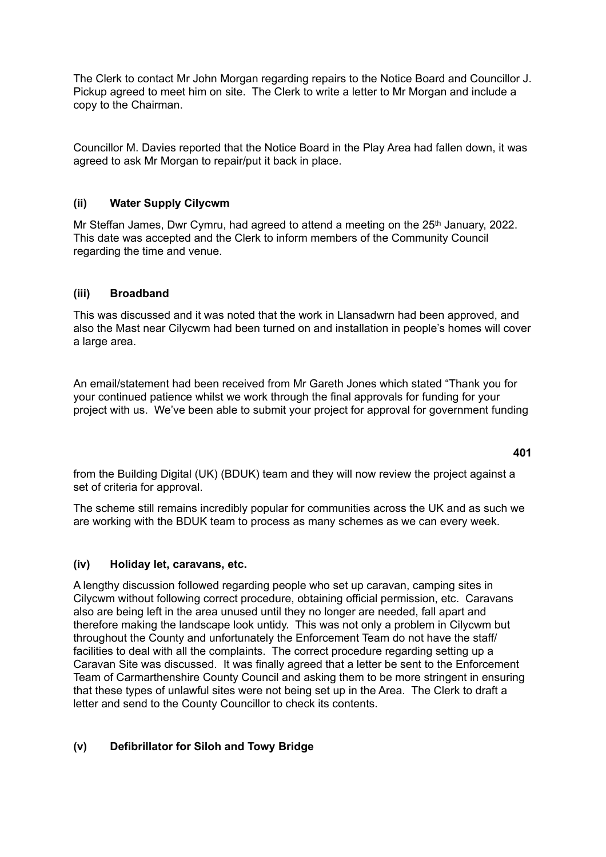The Clerk to contact Mr John Morgan regarding repairs to the Notice Board and Councillor J. Pickup agreed to meet him on site. The Clerk to write a letter to Mr Morgan and include a copy to the Chairman.

Councillor M. Davies reported that the Notice Board in the Play Area had fallen down, it was agreed to ask Mr Morgan to repair/put it back in place.

## **(ii) Water Supply Cilycwm**

Mr Steffan James, Dwr Cymru, had agreed to attend a meeting on the 25<sup>th</sup> January, 2022. This date was accepted and the Clerk to inform members of the Community Council regarding the time and venue.

# **(iii) Broadband**

This was discussed and it was noted that the work in Llansadwrn had been approved, and also the Mast near Cilycwm had been turned on and installation in people's homes will cover a large area.

An email/statement had been received from Mr Gareth Jones which stated "Thank you for your continued patience whilst we work through the final approvals for funding for your project with us. We've been able to submit your project for approval for government funding

from the Building Digital (UK) (BDUK) team and they will now review the project against a set of criteria for approval.

The scheme still remains incredibly popular for communities across the UK and as such we are working with the BDUK team to process as many schemes as we can every week.

## **(iv) Holiday let, caravans, etc.**

A lengthy discussion followed regarding people who set up caravan, camping sites in Cilycwm without following correct procedure, obtaining official permission, etc. Caravans also are being left in the area unused until they no longer are needed, fall apart and therefore making the landscape look untidy. This was not only a problem in Cilycwm but throughout the County and unfortunately the Enforcement Team do not have the staff/ facilities to deal with all the complaints. The correct procedure regarding setting up a Caravan Site was discussed. It was finally agreed that a letter be sent to the Enforcement Team of Carmarthenshire County Council and asking them to be more stringent in ensuring that these types of unlawful sites were not being set up in the Area. The Clerk to draft a letter and send to the County Councillor to check its contents.

# **(v) Defibrillator for Siloh and Towy Bridge**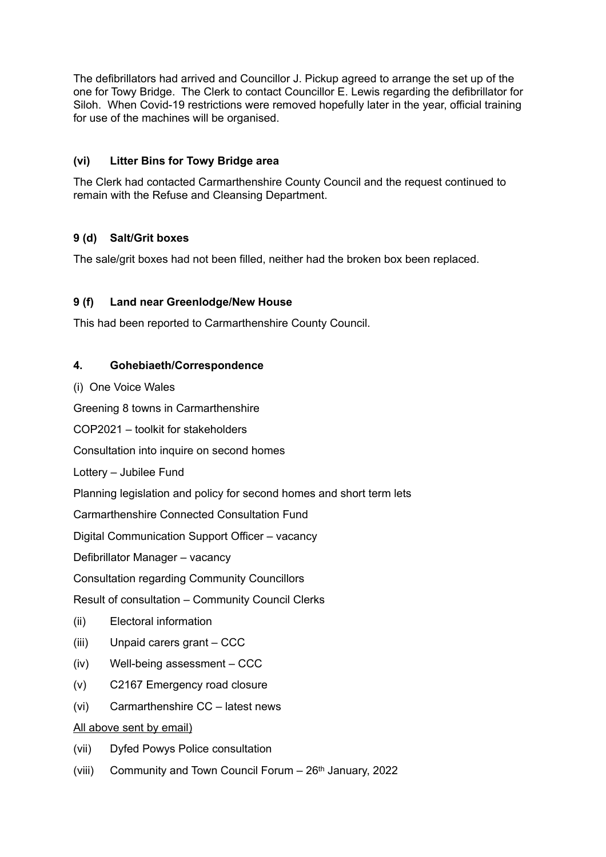The defibrillators had arrived and Councillor J. Pickup agreed to arrange the set up of the one for Towy Bridge. The Clerk to contact Councillor E. Lewis regarding the defibrillator for Siloh. When Covid-19 restrictions were removed hopefully later in the year, official training for use of the machines will be organised.

# **(vi) Litter Bins for Towy Bridge area**

The Clerk had contacted Carmarthenshire County Council and the request continued to remain with the Refuse and Cleansing Department.

# **9 (d) Salt/Grit boxes**

The sale/grit boxes had not been filled, neither had the broken box been replaced.

# **9 (f) Land near Greenlodge/New House**

This had been reported to Carmarthenshire County Council.

# **4. Gohebiaeth/Correspondence**

(i) One Voice Wales Greening 8 towns in Carmarthenshire COP2021 – toolkit for stakeholders Consultation into inquire on second homes Lottery – Jubilee Fund Planning legislation and policy for second homes and short term lets Carmarthenshire Connected Consultation Fund Digital Communication Support Officer – vacancy Defibrillator Manager – vacancy Consultation regarding Community Councillors Result of consultation – Community Council Clerks (ii) Electoral information (iii) Unpaid carers grant – CCC (iv) Well-being assessment – CCC (v) C2167 Emergency road closure (vi) Carmarthenshire CC – latest news All above sent by email) (vii) Dyfed Powys Police consultation (viii) Community and Town Council Forum – 26th January, 2022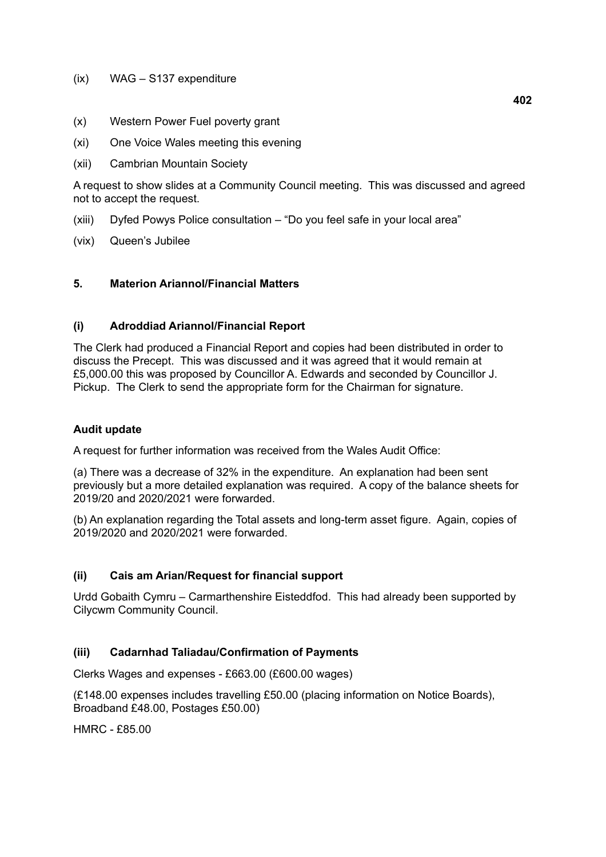#### (ix) WAG – S137 expenditure

- (x) Western Power Fuel poverty grant
- (xi) One Voice Wales meeting this evening
- (xii) Cambrian Mountain Society

A request to show slides at a Community Council meeting. This was discussed and agreed not to accept the request.

- (xiii) Dyfed Powys Police consultation "Do you feel safe in your local area"
- (vix) Queen's Jubilee

### **5. Materion Ariannol/Financial Matters**

#### **(i) Adroddiad Ariannol/Financial Report**

The Clerk had produced a Financial Report and copies had been distributed in order to discuss the Precept. This was discussed and it was agreed that it would remain at £5,000.00 this was proposed by Councillor A. Edwards and seconded by Councillor J. Pickup. The Clerk to send the appropriate form for the Chairman for signature.

#### **Audit update**

A request for further information was received from the Wales Audit Office:

(a) There was a decrease of 32% in the expenditure. An explanation had been sent previously but a more detailed explanation was required. A copy of the balance sheets for 2019/20 and 2020/2021 were forwarded.

(b) An explanation regarding the Total assets and long-term asset figure. Again, copies of 2019/2020 and 2020/2021 were forwarded.

## **(ii) Cais am Arian/Request for financial support**

Urdd Gobaith Cymru – Carmarthenshire Eisteddfod. This had already been supported by Cilycwm Community Council.

#### **(iii) Cadarnhad Taliadau/Confirmation of Payments**

Clerks Wages and expenses - £663.00 (£600.00 wages)

(£148.00 expenses includes travelling £50.00 (placing information on Notice Boards), Broadband £48.00, Postages £50.00)

HMRC - £85.00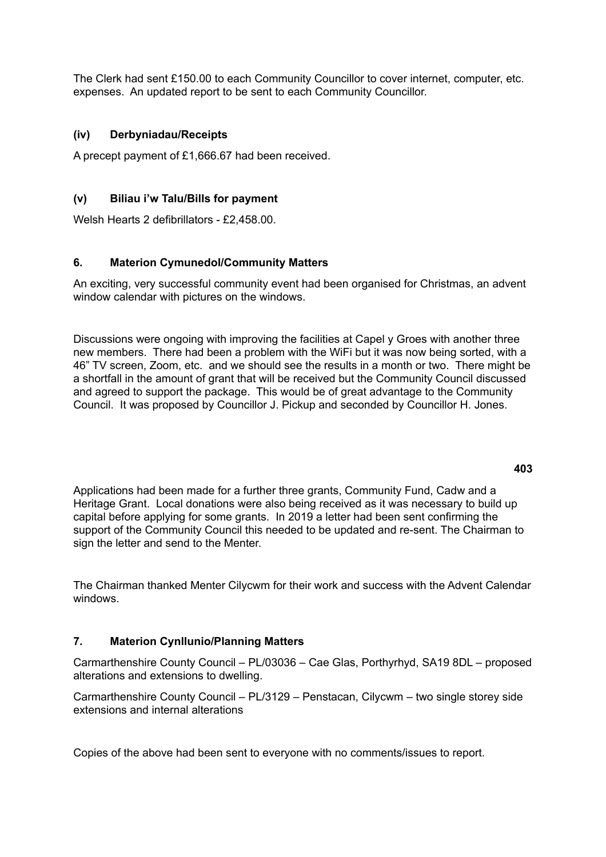The Clerk had sent £150.00 to each Community Councillor to cover internet, computer, etc. expenses. An updated report to be sent to each Community Councillor.

# **(iv) Derbyniadau/Receipts**

A precept payment of £1,666.67 had been received.

# **(v) Biliau i'w Talu/Bills for payment**

Welsh Hearts 2 defibrillators - £2,458.00.

# **6. Materion Cymunedol/Community Matters**

An exciting, very successful community event had been organised for Christmas, an advent window calendar with pictures on the windows.

Discussions were ongoing with improving the facilities at Capel y Groes with another three new members. There had been a problem with the WiFi but it was now being sorted, with a 46" TV screen, Zoom, etc. and we should see the results in a month or two. There might be a shortfall in the amount of grant that will be received but the Community Council discussed and agreed to support the package. This would be of great advantage to the Community Council. It was proposed by Councillor J. Pickup and seconded by Councillor H. Jones.

Applications had been made for a further three grants, Community Fund, Cadw and a Heritage Grant. Local donations were also being received as it was necessary to build up capital before applying for some grants. In 2019 a letter had been sent confirming the support of the Community Council this needed to be updated and re-sent. The Chairman to sign the letter and send to the Menter.

The Chairman thanked Menter Cilycwm for their work and success with the Advent Calendar windows.

## **7. Materion Cynllunio/Planning Matters**

Carmarthenshire County Council – PL/03036 – Cae Glas, Porthyrhyd, SA19 8DL – proposed alterations and extensions to dwelling.

Carmarthenshire County Council – PL/3129 – Penstacan, Cilycwm – two single storey side extensions and internal alterations

Copies of the above had been sent to everyone with no comments/issues to report.